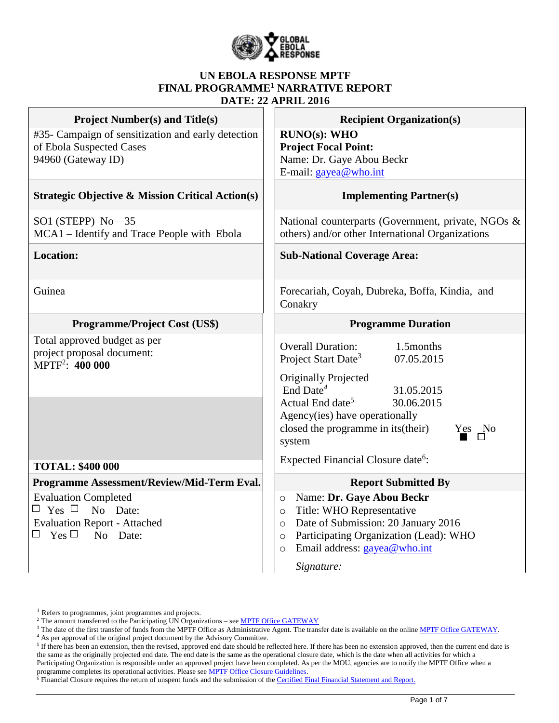

#### **UN EBOLA RESPONSE MPTF FINAL PROGRAMME<sup>1</sup> NARRATIVE REPORT DATE: 22 APRIL 2016**

| <b>Project Number(s) and Title(s)</b>                                            | <b>Recipient Organization(s)</b>                                                                       |  |  |  |
|----------------------------------------------------------------------------------|--------------------------------------------------------------------------------------------------------|--|--|--|
| #35- Campaign of sensitization and early detection<br>of Ebola Suspected Cases   | <b>RUNO(s): WHO</b><br><b>Project Focal Point:</b>                                                     |  |  |  |
| 94960 (Gateway ID)                                                               | Name: Dr. Gaye Abou Beckr                                                                              |  |  |  |
|                                                                                  | E-mail: gayea@who.int                                                                                  |  |  |  |
| <b>Strategic Objective &amp; Mission Critical Action(s)</b>                      | <b>Implementing Partner(s)</b>                                                                         |  |  |  |
| SO1 (STEPP) $No-35$<br>MCA1 – Identify and Trace People with Ebola               | National counterparts (Government, private, NGOs &<br>others) and/or other International Organizations |  |  |  |
| <b>Location:</b>                                                                 | <b>Sub-National Coverage Area:</b>                                                                     |  |  |  |
| Guinea                                                                           | Forecariah, Coyah, Dubreka, Boffa, Kindia, and<br>Conakry                                              |  |  |  |
| <b>Programme/Project Cost (US\$)</b>                                             | <b>Programme Duration</b>                                                                              |  |  |  |
| Total approved budget as per<br>project proposal document:<br>$MPTF^2$ : 400 000 | <b>Overall Duration:</b><br>1.5months<br>Project Start Date <sup>3</sup><br>07.05.2015                 |  |  |  |
|                                                                                  | <b>Originally Projected</b>                                                                            |  |  |  |
|                                                                                  | End Date <sup>4</sup><br>31.05.2015<br>Actual End date <sup>5</sup><br>30.06.2015                      |  |  |  |
|                                                                                  | Agency(ies) have operationally                                                                         |  |  |  |
|                                                                                  | closed the programme in its (their)<br>Yes No<br>system                                                |  |  |  |
| <b>TOTAL: \$400 000</b>                                                          | Expected Financial Closure date <sup>6</sup> :                                                         |  |  |  |
| Programme Assessment/Review/Mid-Term Eval.                                       | <b>Report Submitted By</b>                                                                             |  |  |  |
| <b>Evaluation Completed</b>                                                      | Name: Dr. Gaye Abou Beckr<br>$\circ$                                                                   |  |  |  |
| $\Box$ Yes $\Box$ No Date:                                                       | Title: WHO Representative<br>$\circ$                                                                   |  |  |  |
| <b>Evaluation Report - Attached</b>                                              | Date of Submission: 20 January 2016<br>$\circ$                                                         |  |  |  |
| $\Box$ Yes $\Box$ No Date:                                                       | Participating Organization (Lead): WHO<br>$\circ$                                                      |  |  |  |
|                                                                                  | Email address: gayea@who.int<br>$\circ$                                                                |  |  |  |
|                                                                                  | Signature:                                                                                             |  |  |  |

 $\overline{a}$ 

<sup>&</sup>lt;sup>1</sup> Refers to programmes, joint programmes and projects.

<sup>&</sup>lt;sup>2</sup> The amount transferred to the Participating UN Organizations – see <u>MPTF Office GATEWAY</u>

<sup>&</sup>lt;sup>3</sup> The date of the first transfer of funds from the MPTF Office as Administrative Agent. The transfer date is available on the online [MPTF Office GATEWAY.](http://mdtf.undp.org/)

<sup>4</sup> As per approval of the original project document by the Advisory Committee.

 $5$  If there has been an extension, then the revised, approved end date should be reflected here. If there has been no extension approved, then the current end date is the same as the originally projected end date. The end date is the same as the operational closure date, which is the date when all activities for which a Participating Organization is responsible under an approved project have been completed. As per the MOU, agencies are to notify the MPTF Office when a programme completes its operational activities. Please see **MPTF Office Closure Guidelines**.

<sup>&</sup>lt;sup>6</sup> Financial Closure requires the return of unspent funds and the submission of th[e Certified Final Financial Statement and Report.](http://mdtf.undp.org/document/download/5388)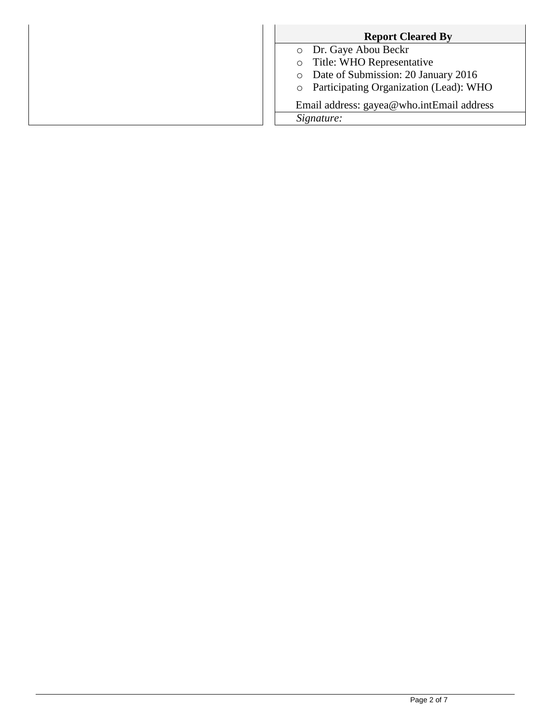| <b>Report Cleared By</b>                          |
|---------------------------------------------------|
| o Dr. Gaye Abou Beckr                             |
| o Title: WHO Representative                       |
| Date of Submission: 20 January 2016<br>$\circ$    |
| Participating Organization (Lead): WHO<br>$\circ$ |
| Email address: gayea@who.intEmail address         |
| Signature:                                        |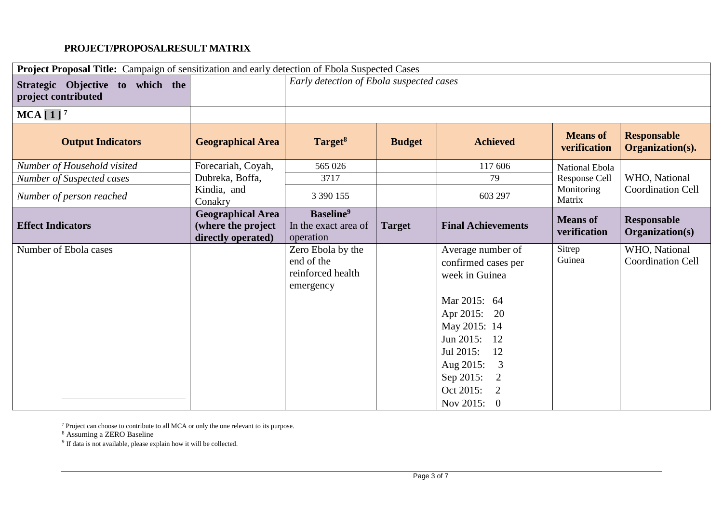## **PROJECT/PROPOSALRESULT MATRIX**

| Project Proposal Title: Campaign of sensitization and early detection of Ebola Suspected Cases |                                                                      |                                                            |               |                             |                                 |                                        |
|------------------------------------------------------------------------------------------------|----------------------------------------------------------------------|------------------------------------------------------------|---------------|-----------------------------|---------------------------------|----------------------------------------|
| Strategic Objective to which the<br>project contributed                                        |                                                                      | Early detection of Ebola suspected cases                   |               |                             |                                 |                                        |
| $MCA$ [1] <sup>7</sup>                                                                         |                                                                      |                                                            |               |                             |                                 |                                        |
| <b>Output Indicators</b>                                                                       | <b>Geographical Area</b>                                             | Target <sup>8</sup>                                        | <b>Budget</b> | <b>Achieved</b>             | <b>Means of</b><br>verification | <b>Responsable</b><br>Organization(s). |
| Number of Household visited                                                                    | Forecariah, Coyah,                                                   | 565 026                                                    |               | 117 606                     | National Ebola                  |                                        |
| Number of Suspected cases                                                                      | Dubreka, Boffa,                                                      | 3717                                                       |               | 79                          | Response Cell                   | WHO, National                          |
| Number of person reached                                                                       | Kindia, and<br>Conakry                                               | 3 3 9 1 1 5 5                                              |               | 603 297                     | Monitoring<br>Matrix            | <b>Coordination Cell</b>               |
| <b>Effect Indicators</b>                                                                       | <b>Geographical Area</b><br>(where the project<br>directly operated) | Baseline <sup>9</sup><br>In the exact area of<br>operation | <b>Target</b> | <b>Final Achievements</b>   | <b>Means of</b><br>verification | <b>Responsable</b><br>Organization(s)  |
| Number of Ebola cases                                                                          |                                                                      | Zero Ebola by the                                          |               | Average number of           | Sitrep                          | WHO, National                          |
|                                                                                                |                                                                      | end of the                                                 |               | confirmed cases per         | Guinea                          | <b>Coordination Cell</b>               |
|                                                                                                |                                                                      | reinforced health                                          |               | week in Guinea              |                                 |                                        |
|                                                                                                |                                                                      | emergency                                                  |               |                             |                                 |                                        |
|                                                                                                |                                                                      |                                                            |               | Mar 2015: 64                |                                 |                                        |
|                                                                                                |                                                                      |                                                            |               | Apr 2015: 20                |                                 |                                        |
|                                                                                                |                                                                      |                                                            |               | May 2015: 14                |                                 |                                        |
|                                                                                                |                                                                      |                                                            |               | Jun 2015: 12                |                                 |                                        |
|                                                                                                |                                                                      |                                                            |               | Jul 2015:<br>12             |                                 |                                        |
|                                                                                                |                                                                      |                                                            |               | Aug 2015:<br>3              |                                 |                                        |
|                                                                                                |                                                                      |                                                            |               | Sep 2015:<br>$\overline{2}$ |                                 |                                        |
|                                                                                                |                                                                      |                                                            |               | Oct 2015:<br>$\overline{2}$ |                                 |                                        |
|                                                                                                |                                                                      |                                                            |               | Nov 2015:<br>$\overline{0}$ |                                 |                                        |

 $7$  Project can choose to contribute to all MCA or only the one relevant to its purpose.

<sup>8</sup> Assuming a ZERO Baseline<br><sup>9</sup> If data is not available, please explain how it will be collected.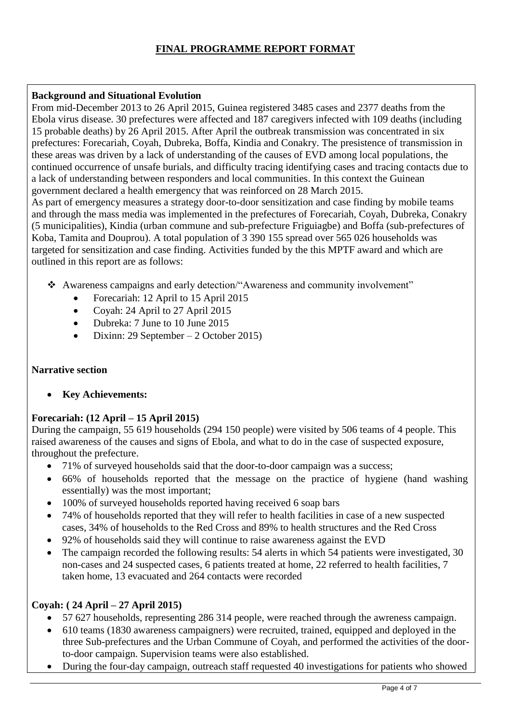## **FINAL PROGRAMME REPORT FORMAT**

#### **Background and Situational Evolution**

From mid-December 2013 to 26 April 2015, Guinea registered 3485 cases and 2377 deaths from the Ebola virus disease. 30 prefectures were affected and 187 caregivers infected with 109 deaths (including 15 probable deaths) by 26 April 2015. After April the outbreak transmission was concentrated in six prefectures: Forecariah, Coyah, Dubreka, Boffa, Kindia and Conakry. The presistence of transmission in these areas was driven by a lack of understanding of the causes of EVD among local populations, the continued occurrence of unsafe burials, and difficulty tracing identifying cases and tracing contacts due to a lack of understanding between responders and local communities. In this context the Guinean government declared a health emergency that was reinforced on 28 March 2015.

As part of emergency measures a strategy door-to-door sensitization and case finding by mobile teams and through the mass media was implemented in the prefectures of Forecariah, Coyah, Dubreka, Conakry (5 municipalities), Kindia (urban commune and sub-prefecture Friguiagbe) and Boffa (sub-prefectures of Koba, Tamita and Douprou). A total population of 3 390 155 spread over 565 026 households was targeted for sensitization and case finding. Activities funded by the this MPTF award and which are outlined in this report are as follows:

- Awareness campaigns and early detection/"Awareness and community involvement"
	- Forecariah: 12 April to 15 April 2015
	- Coyah: 24 April to 27 April 2015
	- Dubreka: 7 June to 10 June 2015
	- Dixinn: 29 September 2 October 2015)

#### **Narrative section**

**Key Achievements:**

## **Forecariah: (12 April – 15 April 2015)**

During the campaign, 55 619 households (294 150 people) were visited by 506 teams of 4 people. This raised awareness of the causes and signs of Ebola, and what to do in the case of suspected exposure, throughout the prefecture.

- 71% of surveyed households said that the door-to-door campaign was a success;
- 66% of households reported that the message on the practice of hygiene (hand washing essentially) was the most important;
- 100% of surveyed households reported having received 6 soap bars
- 74% of households reported that they will refer to health facilities in case of a new suspected cases, 34% of households to the Red Cross and 89% to health structures and the Red Cross
- 92% of households said they will continue to raise awareness against the EVD
- The campaign recorded the following results: 54 alerts in which 54 patients were investigated, 30 non-cases and 24 suspected cases, 6 patients treated at home, 22 referred to health facilities, 7 taken home, 13 evacuated and 264 contacts were recorded

#### **Coyah: ( 24 April – 27 April 2015)**

- 57 627 households, representing 286 314 people, were reached through the awreness campaign.
- 610 teams (1830 awareness campaigners) were recruited, trained, equipped and deployed in the three Sub-prefectures and the Urban Commune of Coyah, and performed the activities of the doorto-door campaign. Supervision teams were also established.
- During the four-day campaign, outreach staff requested 40 investigations for patients who showed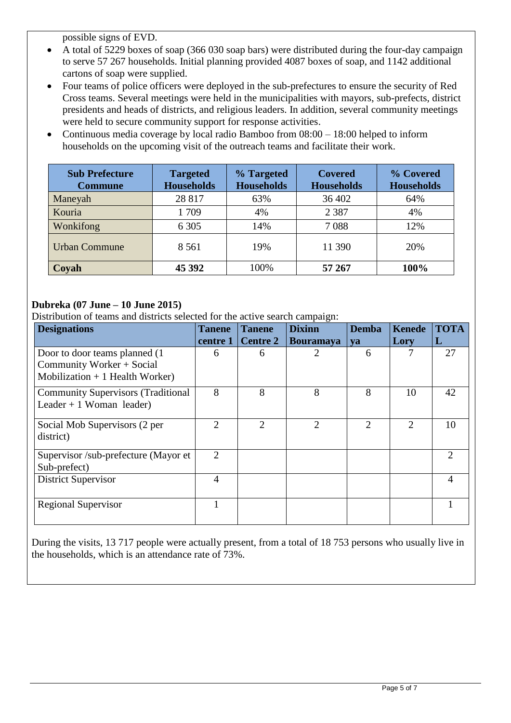possible signs of EVD.

- A total of 5229 boxes of soap (366 030 soap bars) were distributed during the four-day campaign to serve 57 267 households. Initial planning provided 4087 boxes of soap, and 1142 additional cartons of soap were supplied.
- Four teams of police officers were deployed in the sub-prefectures to ensure the security of Red Cross teams. Several meetings were held in the municipalities with mayors, sub-prefects, district presidents and heads of districts, and religious leaders. In addition, several community meetings were held to secure community support for response activities.
- Continuous media coverage by local radio Bamboo from  $08:00 18:00$  helped to inform households on the upcoming visit of the outreach teams and facilitate their work.

| <b>Sub Prefecture</b><br><b>Commune</b> | <b>Targeted</b><br><b>Households</b> | % Targeted<br><b>Households</b> | <b>Covered</b><br><b>Households</b> | % Covered<br><b>Households</b> |
|-----------------------------------------|--------------------------------------|---------------------------------|-------------------------------------|--------------------------------|
| Maneyah                                 | 28 817                               | 63%                             | 36 402                              | 64%                            |
| Kouria                                  | 1709                                 | 4%                              | 2 3 8 7                             | 4%                             |
| Wonkifong                               | 6 3 0 5                              | 14%                             | 7088                                | 12%                            |
| <b>Urban Commune</b>                    | 8 5 6 1                              | 19%                             | 11 390                              | 20%                            |
| Coyah                                   | 45 392                               | 100%                            | 57 267                              | 100%                           |

### **Dubreka (07 June – 10 June 2015)**

Distribution of teams and districts selected for the active search campaign:

| <b>Designations</b>                                                                             | <b>Tanene</b>  | <b>Dixinn</b><br><b>Tanene</b> |                  | <b>Demba</b><br><b>Kenede</b> |                | <b>TOTA</b>                 |
|-------------------------------------------------------------------------------------------------|----------------|--------------------------------|------------------|-------------------------------|----------------|-----------------------------|
|                                                                                                 | centre 1       | <b>Centre 2</b>                | <b>Bouramaya</b> | <b>va</b>                     | Lory           | L                           |
| Door to door teams planned (1)<br>Community Worker + Social<br>Mobilization $+1$ Health Worker) | 6              | 6                              | 2                | 6                             | 7              | 27                          |
| <b>Community Supervisors (Traditional</b><br>Leader + 1 Woman leader)                           | 8              | 8                              | 8                | 8                             | 10             | 42                          |
| Social Mob Supervisors (2 per<br>district)                                                      | 2              | $\mathfrak{D}$                 | $\overline{2}$   | $\mathcal{D}_{\mathcal{L}}$   | $\mathfrak{D}$ | 10                          |
| Supervisor /sub-prefecture (Mayor et<br>Sub-prefect)                                            | $\mathfrak{D}$ |                                |                  |                               |                | $\mathcal{D}_{\mathcal{L}}$ |
| <b>District Supervisor</b>                                                                      | $\overline{4}$ |                                |                  |                               |                | 4                           |
| <b>Regional Supervisor</b>                                                                      |                |                                |                  |                               |                |                             |

During the visits, 13 717 people were actually present, from a total of 18 753 persons who usually live in the households, which is an attendance rate of 73%.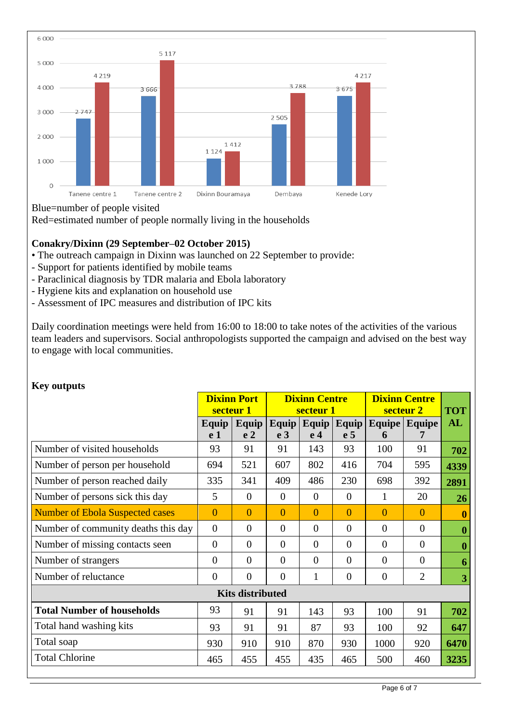

#### Blue=number of people visited

Red=estimated number of people normally living in the households

#### **Conakry/Dixinn (29 September–02 October 2015)**

- The outreach campaign in Dixinn was launched on 22 September to provide:
- Support for patients identified by mobile teams
- Paraclinical diagnosis by TDR malaria and Ebola laboratory
- Hygiene kits and explanation on household use
- Assessment of IPC measures and distribution of IPC kits

Daily coordination meetings were held from 16:00 to 18:00 to take notes of the activities of the various team leaders and supervisors. Social anthropologists supported the campaign and advised on the best way to engage with local communities.

| <b>Nev</b> outputs                     |                    |                |                |                      |                  |                      |                 |                  |
|----------------------------------------|--------------------|----------------|----------------|----------------------|------------------|----------------------|-----------------|------------------|
|                                        | <b>Dixinn Port</b> |                |                | <b>Dixinn Centre</b> |                  | <b>Dixinn Centre</b> |                 |                  |
|                                        | secteur 1          |                | secteur 1      |                      |                  | secteur 2            |                 | <b>TOT</b>       |
|                                        | Equip              | <b>Equip</b>   | Equip          | Equip                | Equip            |                      | Equipe   Equipe | AL               |
|                                        | e 1                | e <sub>2</sub> | e <sub>3</sub> | e <sub>4</sub>       | e <sub>5</sub>   | 6                    |                 |                  |
| Number of visited households           | 93                 | 91             | 91             | 143                  | 93               | 100                  | 91              | 702              |
| Number of person per household         | 694                | 521            | 607            | 802                  | 416              | 704                  | 595             | 4339             |
| Number of person reached daily         | 335                | 341            | 409            | 486                  | 230              | 698                  | 392             | 2891             |
| Number of persons sick this day        | 5                  | $\overline{0}$ | $\Omega$       | $\boldsymbol{0}$     | $\overline{0}$   | 1                    | 20              | <b>26</b>        |
| <b>Number of Ebola Suspected cases</b> | $\overline{0}$     | $\Omega$       | $\theta$       | $\overline{0}$       | $\overline{0}$   | $\overline{0}$       | $\overline{0}$  | $\boldsymbol{0}$ |
| Number of community deaths this day    | $\overline{0}$     | $\overline{0}$ | $\overline{0}$ | $\overline{0}$       | $\overline{0}$   | $\overline{0}$       | $\overline{0}$  | $\boldsymbol{0}$ |
| Number of missing contacts seen        | $\overline{0}$     | $\overline{0}$ | $\overline{0}$ | $\overline{0}$       | $\overline{0}$   | $\overline{0}$       | $\overline{0}$  | $\boldsymbol{0}$ |
| Number of strangers                    | $\overline{0}$     | $\overline{0}$ | $\overline{0}$ | $\overline{0}$       | $\boldsymbol{0}$ | $\overline{0}$       | $\overline{0}$  | 6                |
| Number of reluctance                   | $\overline{0}$     | $\overline{0}$ | $\Omega$       | $\mathbf{1}$         | $\overline{0}$   | $\overline{0}$       | $\overline{2}$  | 3                |
| <b>Kits distributed</b>                |                    |                |                |                      |                  |                      |                 |                  |
| <b>Total Number of households</b>      | 93                 | 91             | 91             | 143                  | 93               | 100                  | 91              | 702              |
| Total hand washing kits                | 93                 | 91             | 91             | 87                   | 93               | 100                  | 92              | 647              |
| Total soap                             | 930                | 910            | 910            | 870                  | 930              | 1000                 | 920             | 6470             |
| <b>Total Chlorine</b>                  | 465                | 455            | 455            | 435                  | 465              | 500                  | 460             | 3235             |

# **Key outputs**